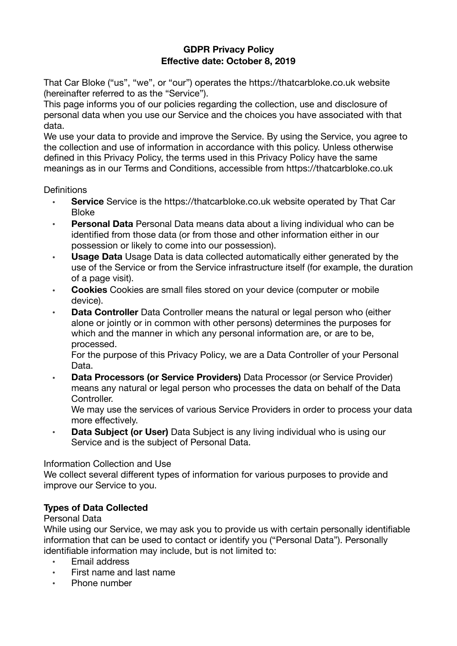# **GDPR Privacy Policy Effective date: October 8, 2019**

That Car Bloke ("us", "we", or "our") operates the https://thatcarbloke.co.uk website (hereinafter referred to as the "Service").

This page informs you of our policies regarding the collection, use and disclosure of personal data when you use our Service and the choices you have associated with that data.

We use your data to provide and improve the Service. By using the Service, you agree to the collection and use of information in accordance with this policy. Unless otherwise defined in this Privacy Policy, the terms used in this Privacy Policy have the same meanings as in our Terms and Conditions, accessible from https://thatcarbloke.co.uk

**Definitions** 

- **• Service** Service is the https://thatcarbloke.co.uk website operated by That Car Bloke
- **• Personal Data** Personal Data means data about a living individual who can be identified from those data (or from those and other information either in our possession or likely to come into our possession).
- **• Usage Data** Usage Data is data collected automatically either generated by the use of the Service or from the Service infrastructure itself (for example, the duration of a page visit).
- **• Cookies** Cookies are small files stored on your device (computer or mobile device).
- **• Data Controller** Data Controller means the natural or legal person who (either alone or jointly or in common with other persons) determines the purposes for which and the manner in which any personal information are, or are to be, processed.

For the purpose of this Privacy Policy, we are a Data Controller of your Personal Data.

**• Data Processors (or Service Providers)** Data Processor (or Service Provider) means any natural or legal person who processes the data on behalf of the Data Controller.

We may use the services of various Service Providers in order to process your data more effectively.

**• Data Subject (or User)** Data Subject is any living individual who is using our Service and is the subject of Personal Data.

Information Collection and Use

We collect several different types of information for various purposes to provide and improve our Service to you.

# **Types of Data Collected**

Personal Data

While using our Service, we may ask you to provide us with certain personally identifiable information that can be used to contact or identify you ("Personal Data"). Personally identifiable information may include, but is not limited to:

- Email address
- First name and last name
- Phone number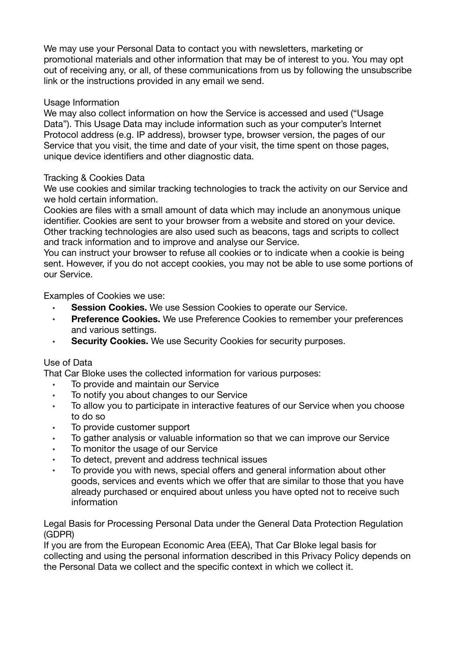We may use your Personal Data to contact you with newsletters, marketing or promotional materials and other information that may be of interest to you. You may opt out of receiving any, or all, of these communications from us by following the unsubscribe link or the instructions provided in any email we send.

### Usage Information

We may also collect information on how the Service is accessed and used ("Usage Data"). This Usage Data may include information such as your computer's Internet Protocol address (e.g. IP address), browser type, browser version, the pages of our Service that you visit, the time and date of your visit, the time spent on those pages, unique device identifiers and other diagnostic data.

### Tracking & Cookies Data

We use cookies and similar tracking technologies to track the activity on our Service and we hold certain information.

Cookies are files with a small amount of data which may include an anonymous unique identifier. Cookies are sent to your browser from a website and stored on your device. Other tracking technologies are also used such as beacons, tags and scripts to collect and track information and to improve and analyse our Service.

You can instruct your browser to refuse all cookies or to indicate when a cookie is being sent. However, if you do not accept cookies, you may not be able to use some portions of our Service.

Examples of Cookies we use:

- **Session Cookies.** We use Session Cookies to operate our Service.
- **• Preference Cookies.** We use Preference Cookies to remember your preferences and various settings.
- **• Security Cookies.** We use Security Cookies for security purposes.

# Use of Data

That Car Bloke uses the collected information for various purposes:

- To provide and maintain our Service
- To notify you about changes to our Service
- To allow you to participate in interactive features of our Service when you choose to do so
- To provide customer support
- To gather analysis or valuable information so that we can improve our Service
- To monitor the usage of our Service
- To detect, prevent and address technical issues
- To provide you with news, special offers and general information about other goods, services and events which we offer that are similar to those that you have already purchased or enquired about unless you have opted not to receive such information

Legal Basis for Processing Personal Data under the General Data Protection Regulation (GDPR)

If you are from the European Economic Area (EEA), That Car Bloke legal basis for collecting and using the personal information described in this Privacy Policy depends on the Personal Data we collect and the specific context in which we collect it.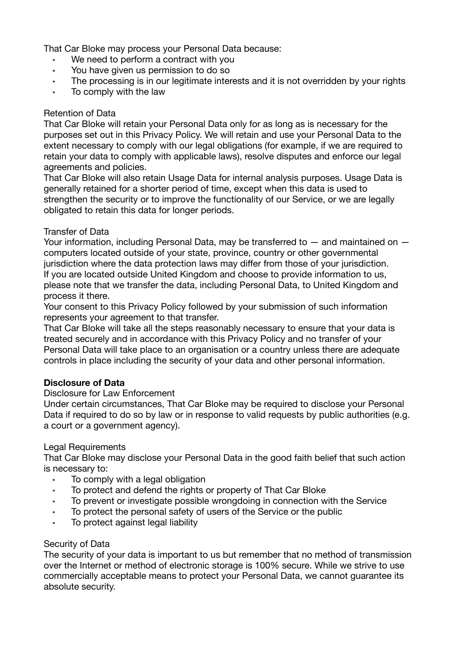That Car Bloke may process your Personal Data because:

- We need to perform a contract with you
- You have given us permission to do so
- The processing is in our legitimate interests and it is not overridden by your rights
- To comply with the law

### Retention of Data

That Car Bloke will retain your Personal Data only for as long as is necessary for the purposes set out in this Privacy Policy. We will retain and use your Personal Data to the extent necessary to comply with our legal obligations (for example, if we are required to retain your data to comply with applicable laws), resolve disputes and enforce our legal agreements and policies.

That Car Bloke will also retain Usage Data for internal analysis purposes. Usage Data is generally retained for a shorter period of time, except when this data is used to strengthen the security or to improve the functionality of our Service, or we are legally obligated to retain this data for longer periods.

### Transfer of Data

Your information, including Personal Data, may be transferred to  $-$  and maintained on  $$ computers located outside of your state, province, country or other governmental jurisdiction where the data protection laws may differ from those of your jurisdiction. If you are located outside United Kingdom and choose to provide information to us, please note that we transfer the data, including Personal Data, to United Kingdom and process it there.

Your consent to this Privacy Policy followed by your submission of such information represents your agreement to that transfer.

That Car Bloke will take all the steps reasonably necessary to ensure that your data is treated securely and in accordance with this Privacy Policy and no transfer of your Personal Data will take place to an organisation or a country unless there are adequate controls in place including the security of your data and other personal information.

# **Disclosure of Data**

#### Disclosure for Law Enforcement

Under certain circumstances, That Car Bloke may be required to disclose your Personal Data if required to do so by law or in response to valid requests by public authorities (e.g. a court or a government agency).

#### Legal Requirements

That Car Bloke may disclose your Personal Data in the good faith belief that such action is necessary to:

- To comply with a legal obligation
- To protect and defend the rights or property of That Car Bloke
- To prevent or investigate possible wrongdoing in connection with the Service
- To protect the personal safety of users of the Service or the public
- To protect against legal liability

# Security of Data

The security of your data is important to us but remember that no method of transmission over the Internet or method of electronic storage is 100% secure. While we strive to use commercially acceptable means to protect your Personal Data, we cannot guarantee its absolute security.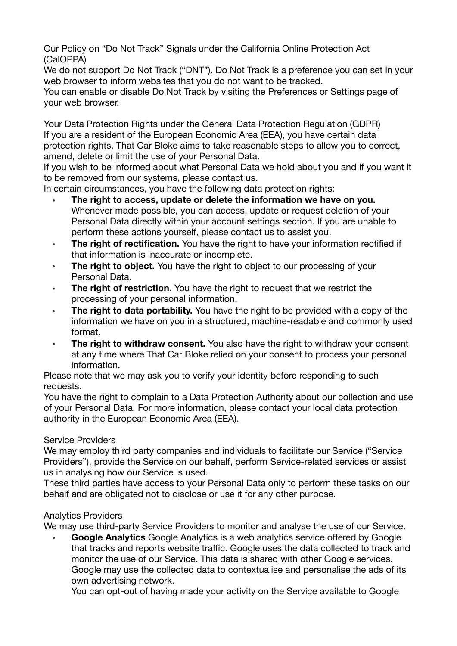Our Policy on "Do Not Track" Signals under the California Online Protection Act (CalOPPA)

We do not support Do Not Track ("DNT"). Do Not Track is a preference you can set in your web browser to inform websites that you do not want to be tracked.

You can enable or disable Do Not Track by visiting the Preferences or Settings page of your web browser.

Your Data Protection Rights under the General Data Protection Regulation (GDPR) If you are a resident of the European Economic Area (EEA), you have certain data protection rights. That Car Bloke aims to take reasonable steps to allow you to correct, amend, delete or limit the use of your Personal Data.

If you wish to be informed about what Personal Data we hold about you and if you want it to be removed from our systems, please contact us.

In certain circumstances, you have the following data protection rights:

- **• The right to access, update or delete the information we have on you.** Whenever made possible, you can access, update or request deletion of your Personal Data directly within your account settings section. If you are unable to perform these actions yourself, please contact us to assist you.
- **The right of rectification.** You have the right to have your information rectified if that information is inaccurate or incomplete.
- **The right to object.** You have the right to object to our processing of your Personal Data.
- **The right of restriction.** You have the right to request that we restrict the processing of your personal information.
- **The right to data portability.** You have the right to be provided with a copy of the information we have on you in a structured, machine-readable and commonly used format.
- **The right to withdraw consent.** You also have the right to withdraw your consent at any time where That Car Bloke relied on your consent to process your personal information.

Please note that we may ask you to verify your identity before responding to such requests.

You have the right to complain to a Data Protection Authority about our collection and use of your Personal Data. For more information, please contact your local data protection authority in the European Economic Area (EEA).

# Service Providers

We may employ third party companies and individuals to facilitate our Service ("Service Providers"), provide the Service on our behalf, perform Service-related services or assist us in analysing how our Service is used.

These third parties have access to your Personal Data only to perform these tasks on our behalf and are obligated not to disclose or use it for any other purpose.

# Analytics Providers

We may use third-party Service Providers to monitor and analyse the use of our Service.

**Google Analytics** Google Analytics is a web analytics service offered by Google that tracks and reports website traffic. Google uses the data collected to track and monitor the use of our Service. This data is shared with other Google services. Google may use the collected data to contextualise and personalise the ads of its own advertising network.

You can opt-out of having made your activity on the Service available to Google